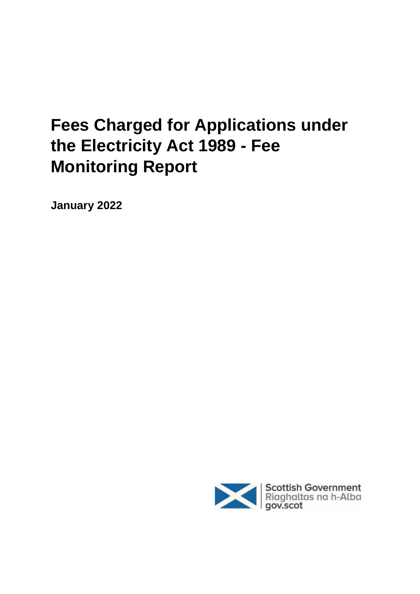# **Fees Charged for Applications under the Electricity Act 1989 - Fee Monitoring Report**

**January 2022**

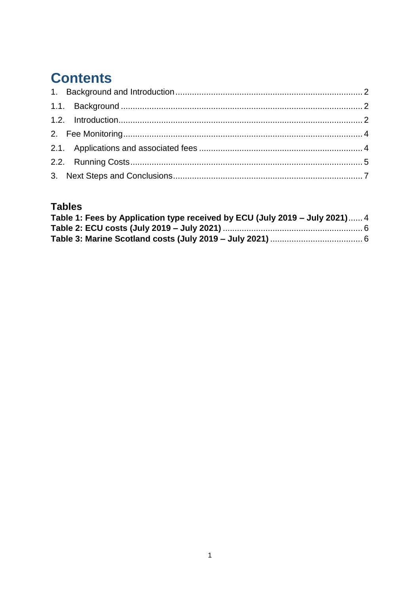## **Contents**

#### **Tables**

| Table 1: Fees by Application type received by ECU (July 2019 – July 2021) 4 |  |
|-----------------------------------------------------------------------------|--|
|                                                                             |  |
|                                                                             |  |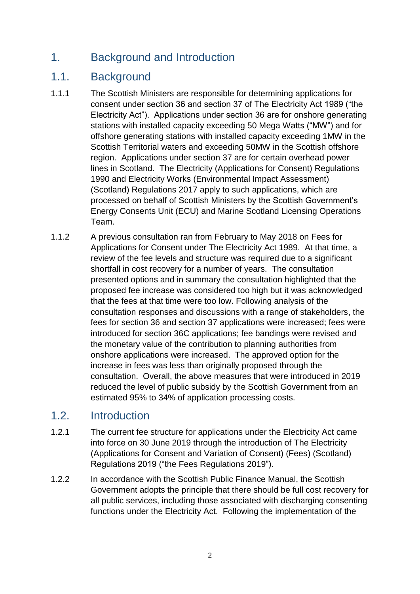## <span id="page-2-0"></span>1. Background and Introduction

### <span id="page-2-1"></span>1.1. Background

- 1.1.1 The Scottish Ministers are responsible for determining applications for consent under section 36 and section 37 of The Electricity Act 1989 ("the Electricity Act"). Applications under section 36 are for onshore generating stations with installed capacity exceeding 50 Mega Watts ("MW") and for offshore generating stations with installed capacity exceeding 1MW in the Scottish Territorial waters and exceeding 50MW in the Scottish offshore region. Applications under section 37 are for certain overhead power lines in Scotland. The Electricity (Applications for Consent) Regulations 1990 and Electricity Works (Environmental Impact Assessment) (Scotland) Regulations 2017 apply to such applications, which are processed on behalf of Scottish Ministers by the Scottish Government's Energy Consents Unit (ECU) and Marine Scotland Licensing Operations Team.
- 1.1.2 A previous consultation ran from February to May 2018 on Fees for Applications for Consent under The Electricity Act 1989. At that time, a review of the fee levels and structure was required due to a significant shortfall in cost recovery for a number of years. The consultation presented options and in summary the consultation highlighted that the proposed fee increase was considered too high but it was acknowledged that the fees at that time were too low. Following analysis of the consultation responses and discussions with a range of stakeholders, the fees for section 36 and section 37 applications were increased; fees were introduced for section 36C applications; fee bandings were revised and the monetary value of the contribution to planning authorities from onshore applications were increased. The approved option for the increase in fees was less than originally proposed through the consultation. Overall, the above measures that were introduced in 2019 reduced the level of public subsidy by the Scottish Government from an estimated 95% to 34% of application processing costs.

#### <span id="page-2-2"></span>1.2. Introduction

- 1.2.1 The current fee structure for applications under the Electricity Act came into force on 30 June 2019 through the introduction of The Electricity (Applications for Consent and Variation of Consent) (Fees) (Scotland) Regulations 2019 ("the Fees Regulations 2019").
- 1.2.2 In accordance with the Scottish Public Finance Manual, the Scottish Government adopts the principle that there should be full cost recovery for all public services, including those associated with discharging consenting functions under the Electricity Act. Following the implementation of the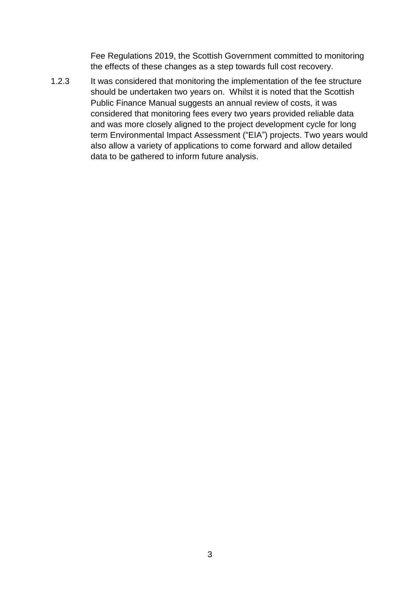Fee Regulations 2019, the Scottish Government committed to monitoring the effects of these changes as a step towards full cost recovery.

1.2.3 It was considered that monitoring the implementation of the fee structure should be undertaken two years on. Whilst it is noted that the Scottish Public Finance Manual suggests an annual review of costs, it was considered that monitoring fees every two years provided reliable data and was more closely aligned to the project development cycle for long term Environmental Impact Assessment ("EIA") projects. Two years would also allow a variety of applications to come forward and allow detailed data to be gathered to inform future analysis.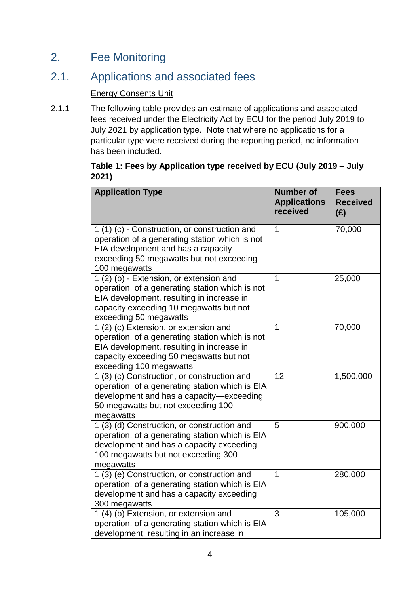## <span id="page-4-0"></span>2. Fee Monitoring

## <span id="page-4-1"></span>2.1. Applications and associated fees

#### Energy Consents Unit

2.1.1 The following table provides an estimate of applications and associated fees received under the Electricity Act by ECU for the period July 2019 to July 2021 by application type. Note that where no applications for a particular type were received during the reporting period, no information has been included.

#### <span id="page-4-2"></span>**Table 1: Fees by Application type received by ECU (July 2019 – July 2021)**

| <b>Application Type</b>                                                                                                                                                                                      | <b>Number of</b><br><b>Applications</b><br>received | <b>Fees</b><br><b>Received</b><br>(E) |
|--------------------------------------------------------------------------------------------------------------------------------------------------------------------------------------------------------------|-----------------------------------------------------|---------------------------------------|
| 1 (1) (c) - Construction, or construction and<br>operation of a generating station which is not<br>EIA development and has a capacity<br>exceeding 50 megawatts but not exceeding<br>100 megawatts           | 1                                                   | 70,000                                |
| 1 (2) (b) - Extension, or extension and<br>operation, of a generating station which is not<br>EIA development, resulting in increase in<br>capacity exceeding 10 megawatts but not<br>exceeding 50 megawatts | $\mathbf{1}$                                        | 25,000                                |
| 1 (2) (c) Extension, or extension and<br>operation, of a generating station which is not<br>EIA development, resulting in increase in<br>capacity exceeding 50 megawatts but not<br>exceeding 100 megawatts  | 1                                                   | 70,000                                |
| 1 (3) (c) Construction, or construction and<br>operation, of a generating station which is EIA<br>development and has a capacity-exceeding<br>50 megawatts but not exceeding 100<br>megawatts                | 12                                                  | 1,500,000                             |
| 1 (3) (d) Construction, or construction and<br>operation, of a generating station which is EIA<br>development and has a capacity exceeding<br>100 megawatts but not exceeding 300<br>megawatts               | 5                                                   | 900,000                               |
| 1 (3) (e) Construction, or construction and<br>operation, of a generating station which is EIA<br>development and has a capacity exceeding<br>300 megawatts                                                  | $\overline{1}$                                      | 280,000                               |
| 1 (4) (b) Extension, or extension and<br>operation, of a generating station which is EIA<br>development, resulting in an increase in                                                                         | 3                                                   | 105,000                               |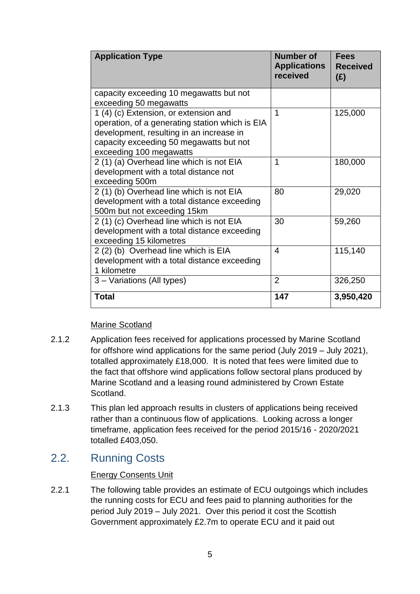| <b>Application Type</b>                                                                                                                                                                                    | <b>Number of</b><br><b>Applications</b><br>received | <b>Fees</b><br><b>Received</b><br>(E) |
|------------------------------------------------------------------------------------------------------------------------------------------------------------------------------------------------------------|-----------------------------------------------------|---------------------------------------|
| capacity exceeding 10 megawatts but not<br>exceeding 50 megawatts                                                                                                                                          |                                                     |                                       |
| 1 (4) (c) Extension, or extension and<br>operation, of a generating station which is EIA<br>development, resulting in an increase in<br>capacity exceeding 50 megawatts but not<br>exceeding 100 megawatts | 1                                                   | 125,000                               |
| 2 (1) (a) Overhead line which is not EIA<br>development with a total distance not<br>exceeding 500m                                                                                                        | 1                                                   | 180,000                               |
| 2 (1) (b) Overhead line which is not EIA<br>development with a total distance exceeding<br>500m but not exceeding 15km                                                                                     | 80                                                  | 29,020                                |
| 2 (1) (c) Overhead line which is not EIA<br>development with a total distance exceeding<br>exceeding 15 kilometres                                                                                         | 30                                                  | 59,260                                |
| 2 (2) (b) Overhead line which is EIA<br>development with a total distance exceeding<br>1 kilometre                                                                                                         | 4                                                   | 115,140                               |
| 3 - Variations (All types)                                                                                                                                                                                 | $\overline{2}$                                      | 326,250                               |
| <b>Total</b>                                                                                                                                                                                               | 147                                                 | 3,950,420                             |

#### Marine Scotland

- 2.1.2 Application fees received for applications processed by Marine Scotland for offshore wind applications for the same period (July 2019 – July 2021), totalled approximately £18,000. It is noted that fees were limited due to the fact that offshore wind applications follow sectoral plans produced by Marine Scotland and a leasing round administered by Crown Estate Scotland.
- 2.1.3 This plan led approach results in clusters of applications being received rather than a continuous flow of applications. Looking across a longer timeframe, application fees received for the period 2015/16 - 2020/2021 totalled £403,050.

## <span id="page-5-0"></span>2.2. Running Costs

#### Energy Consents Unit

2.2.1 The following table provides an estimate of ECU outgoings which includes the running costs for ECU and fees paid to planning authorities for the period July 2019 – July 2021. Over this period it cost the Scottish Government approximately £2.7m to operate ECU and it paid out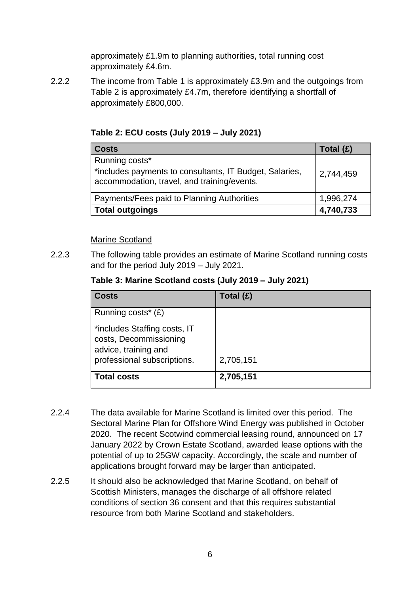approximately £1.9m to planning authorities, total running cost approximately £4.6m.

2.2.2 The income from Table 1 is approximately £3.9m and the outgoings from Table 2 is approximately £4.7m, therefore identifying a shortfall of approximately £800,000.

| <b>Costs</b>                                                                                                             | Total (£) |
|--------------------------------------------------------------------------------------------------------------------------|-----------|
| Running costs*<br>*includes payments to consultants, IT Budget, Salaries,<br>accommodation, travel, and training/events. | 2,744,459 |
| Payments/Fees paid to Planning Authorities                                                                               | 1,996,274 |
| <b>Total outgoings</b>                                                                                                   | 4,740,733 |

#### <span id="page-6-0"></span>**Table 2: ECU costs (July 2019 – July 2021)**

#### Marine Scotland

<span id="page-6-1"></span>2.2.3 The following table provides an estimate of Marine Scotland running costs and for the period July 2019 – July 2021.

| Table 3: Marine Scotland costs (July 2019 – July 2021) |  |
|--------------------------------------------------------|--|
|--------------------------------------------------------|--|

| <b>Costs</b>                                                                                                  | Total (£) |
|---------------------------------------------------------------------------------------------------------------|-----------|
| Running costs <sup>*</sup> $(E)$                                                                              |           |
| *includes Staffing costs, IT<br>costs, Decommissioning<br>advice, training and<br>professional subscriptions. | 2,705,151 |
| <b>Total costs</b>                                                                                            | 2,705,151 |

- 2.2.4 The data available for Marine Scotland is limited over this period. The Sectoral Marine Plan for Offshore Wind Energy was published in October 2020. The recent Scotwind commercial leasing round, announced on 17 January 2022 by Crown Estate Scotland, awarded lease options with the potential of up to 25GW capacity. Accordingly, the scale and number of applications brought forward may be larger than anticipated.
- 2.2.5 It should also be acknowledged that Marine Scotland, on behalf of Scottish Ministers, manages the discharge of all offshore related conditions of section 36 consent and that this requires substantial resource from both Marine Scotland and stakeholders.